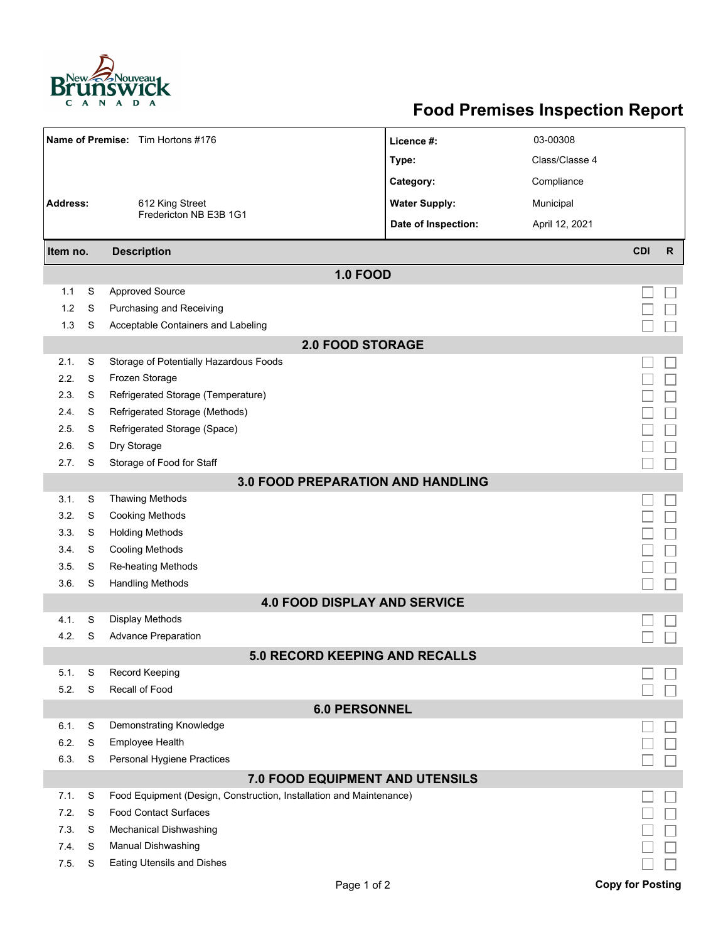

## **Food Premises Inspection Report**

| Name of Premise: Tim Hortons #176        |   |                                                                     | Licence #:           | 03-00308       |                         |              |  |  |  |  |
|------------------------------------------|---|---------------------------------------------------------------------|----------------------|----------------|-------------------------|--------------|--|--|--|--|
|                                          |   |                                                                     | Type:                | Class/Classe 4 |                         |              |  |  |  |  |
|                                          |   |                                                                     | Category:            | Compliance     |                         |              |  |  |  |  |
| Address:                                 |   | 612 King Street                                                     | <b>Water Supply:</b> | Municipal      |                         |              |  |  |  |  |
|                                          |   | Fredericton NB E3B 1G1                                              | Date of Inspection:  | April 12, 2021 |                         |              |  |  |  |  |
| Item no.                                 |   | <b>Description</b>                                                  |                      |                | <b>CDI</b>              | $\mathsf{R}$ |  |  |  |  |
|                                          |   |                                                                     |                      |                |                         |              |  |  |  |  |
|                                          |   | <b>1.0 FOOD</b>                                                     |                      |                |                         |              |  |  |  |  |
| 1.1                                      | S | <b>Approved Source</b>                                              |                      |                |                         |              |  |  |  |  |
| 1.2                                      | S | Purchasing and Receiving                                            |                      |                |                         |              |  |  |  |  |
| 1.3                                      | S | Acceptable Containers and Labeling                                  |                      |                |                         |              |  |  |  |  |
| <b>2.0 FOOD STORAGE</b>                  |   |                                                                     |                      |                |                         |              |  |  |  |  |
| 2.1.                                     | S | Storage of Potentially Hazardous Foods                              |                      |                |                         |              |  |  |  |  |
| 2.2.                                     | S | Frozen Storage                                                      |                      |                |                         |              |  |  |  |  |
| 2.3.                                     | S | Refrigerated Storage (Temperature)                                  |                      |                |                         |              |  |  |  |  |
| 2.4.                                     | S | Refrigerated Storage (Methods)                                      |                      |                |                         |              |  |  |  |  |
| 2.5.                                     | S | Refrigerated Storage (Space)                                        |                      |                |                         |              |  |  |  |  |
| 2.6.                                     | S | Dry Storage                                                         |                      |                |                         |              |  |  |  |  |
| 2.7.                                     | S | Storage of Food for Staff                                           |                      |                |                         |              |  |  |  |  |
| <b>3.0 FOOD PREPARATION AND HANDLING</b> |   |                                                                     |                      |                |                         |              |  |  |  |  |
| 3.1.                                     | S | <b>Thawing Methods</b>                                              |                      |                |                         |              |  |  |  |  |
| 3.2.                                     | S | <b>Cooking Methods</b>                                              |                      |                |                         |              |  |  |  |  |
| 3.3.                                     | S | <b>Holding Methods</b>                                              |                      |                |                         |              |  |  |  |  |
| 3.4.                                     | S | <b>Cooling Methods</b>                                              |                      |                |                         |              |  |  |  |  |
| 3.5.                                     | S | Re-heating Methods                                                  |                      |                |                         |              |  |  |  |  |
| 3.6.                                     | S | <b>Handling Methods</b>                                             |                      |                |                         |              |  |  |  |  |
|                                          |   | <b>4.0 FOOD DISPLAY AND SERVICE</b>                                 |                      |                |                         |              |  |  |  |  |
| 4.1.                                     | S | Display Methods                                                     |                      |                |                         |              |  |  |  |  |
| 4.2.                                     | S | <b>Advance Preparation</b>                                          |                      |                |                         |              |  |  |  |  |
|                                          |   | <b>5.0 RECORD KEEPING AND RECALLS</b>                               |                      |                |                         |              |  |  |  |  |
| 5.1.                                     | S | Record Keeping                                                      |                      |                |                         |              |  |  |  |  |
| 5.2.                                     | S | Recall of Food                                                      |                      |                |                         |              |  |  |  |  |
|                                          |   | <b>6.0 PERSONNEL</b>                                                |                      |                |                         |              |  |  |  |  |
| 6.1.                                     | S | Demonstrating Knowledge                                             |                      |                |                         |              |  |  |  |  |
| 6.2.                                     | S | Employee Health                                                     |                      |                |                         |              |  |  |  |  |
| 6.3.                                     | S | Personal Hygiene Practices                                          |                      |                |                         |              |  |  |  |  |
|                                          |   | 7.0 FOOD EQUIPMENT AND UTENSILS                                     |                      |                |                         |              |  |  |  |  |
| 7.1.                                     | S | Food Equipment (Design, Construction, Installation and Maintenance) |                      |                |                         |              |  |  |  |  |
| 7.2.                                     | S | <b>Food Contact Surfaces</b>                                        |                      |                |                         |              |  |  |  |  |
| 7.3.                                     | S | <b>Mechanical Dishwashing</b>                                       |                      |                |                         |              |  |  |  |  |
| 7.4.                                     | S | Manual Dishwashing                                                  |                      |                |                         |              |  |  |  |  |
| 7.5.                                     | S | <b>Eating Utensils and Dishes</b>                                   |                      |                |                         |              |  |  |  |  |
|                                          |   | Page 1 of 2                                                         |                      |                | <b>Copy for Posting</b> |              |  |  |  |  |